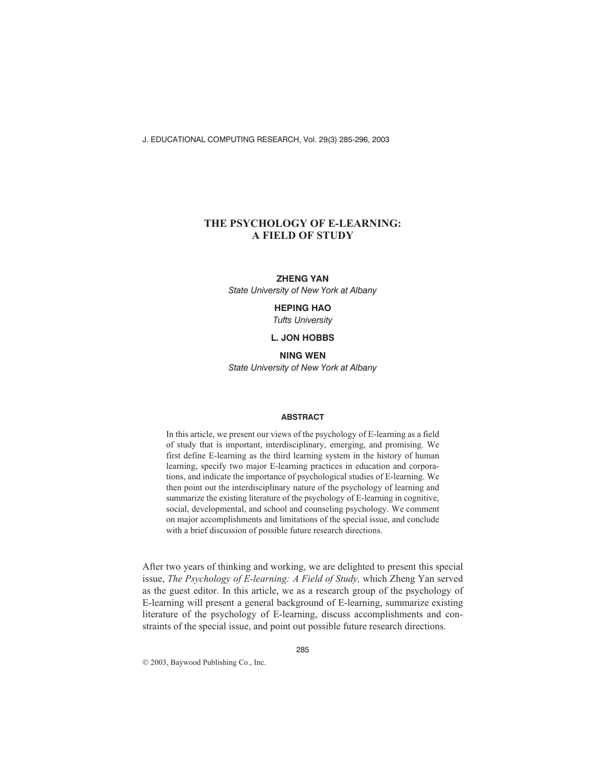J. EDUCATIONAL COMPUTING RESEARCH, Vol. 29(3) 285-296, 2003

# **THE PSYCHOLOGY OF E-LEARNING: A FIELD OF STUDY**

#### **ZHENG YAN**

*State University of New York at Albany*

# **HEPING HAO**

*Tufts University*

# **L. JON HOBBS**

**NING WEN** *State University of New York at Albany*

### **ABSTRACT**

In this article, we present our views of the psychology of E-learning as a field of study that is important, interdisciplinary, emerging, and promising. We first define E-learning as the third learning system in the history of human learning, specify two major E-learning practices in education and corporations, and indicate the importance of psychological studies of E-learning. We then point out the interdisciplinary nature of the psychology of learning and summarize the existing literature of the psychology of E-learning in cognitive, social, developmental, and school and counseling psychology. We comment on major accomplishments and limitations of the special issue, and conclude with a brief discussion of possible future research directions.

After two years of thinking and working, we are delighted to present this special issue, *The Psychology of E-learning: A Field of Study,* which Zheng Yan served as the guest editor. In this article, we as a research group of the psychology of E-learning will present a general background of E-learning, summarize existing literature of the psychology of E-learning, discuss accomplishments and constraints of the special issue, and point out possible future research directions.

2003, Baywood Publishing Co., Inc.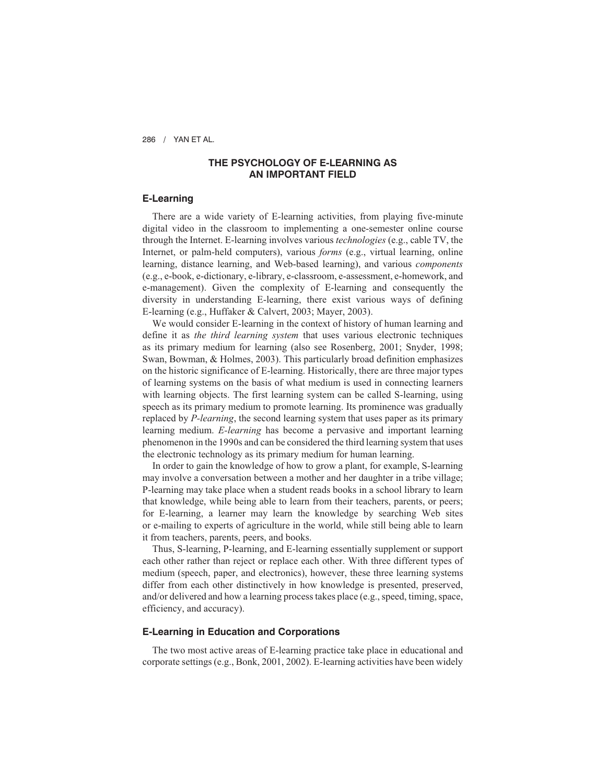# **THE PSYCHOLOGY OF E-LEARNING AS AN IMPORTANT FIELD**

### **E-Learning**

There are a wide variety of E-learning activities, from playing five-minute digital video in the classroom to implementing a one-semester online course through the Internet. E-learning involves various *technologies* (e.g., cable TV, the Internet, or palm-held computers), various *forms* (e.g., virtual learning, online learning, distance learning, and Web-based learning), and various *components* (e.g., e-book, e-dictionary, e-library, e-classroom, e-assessment, e-homework, and e-management). Given the complexity of E-learning and consequently the diversity in understanding E-learning, there exist various ways of defining E-learning (e.g., Huffaker & Calvert, 2003; Mayer, 2003).

We would consider E-learning in the context of history of human learning and define it as *the third learning system* that uses various electronic techniques as its primary medium for learning (also see Rosenberg, 2001; Snyder, 1998; Swan, Bowman, & Holmes, 2003). This particularly broad definition emphasizes on the historic significance of E-learning. Historically, there are three major types of learning systems on the basis of what medium is used in connecting learners with learning objects. The first learning system can be called S-learning, using speech as its primary medium to promote learning. Its prominence was gradually replaced by *P-learning*, the second learning system that uses paper as its primary learning medium. *E-learning* has become a pervasive and important learning phenomenon in the 1990s and can be considered the third learning system that uses the electronic technology as its primary medium for human learning.

In order to gain the knowledge of how to grow a plant, for example, S-learning may involve a conversation between a mother and her daughter in a tribe village; P-learning may take place when a student reads books in a school library to learn that knowledge, while being able to learn from their teachers, parents, or peers; for E-learning, a learner may learn the knowledge by searching Web sites or e-mailing to experts of agriculture in the world, while still being able to learn it from teachers, parents, peers, and books.

Thus, S-learning, P-learning, and E-learning essentially supplement or support each other rather than reject or replace each other. With three different types of medium (speech, paper, and electronics), however, these three learning systems differ from each other distinctively in how knowledge is presented, preserved, and/or delivered and how a learning process takes place (e.g., speed, timing, space, efficiency, and accuracy).

### **E-Learning in Education and Corporations**

The two most active areas of E-learning practice take place in educational and corporate settings (e.g., Bonk, 2001, 2002). E-learning activities have been widely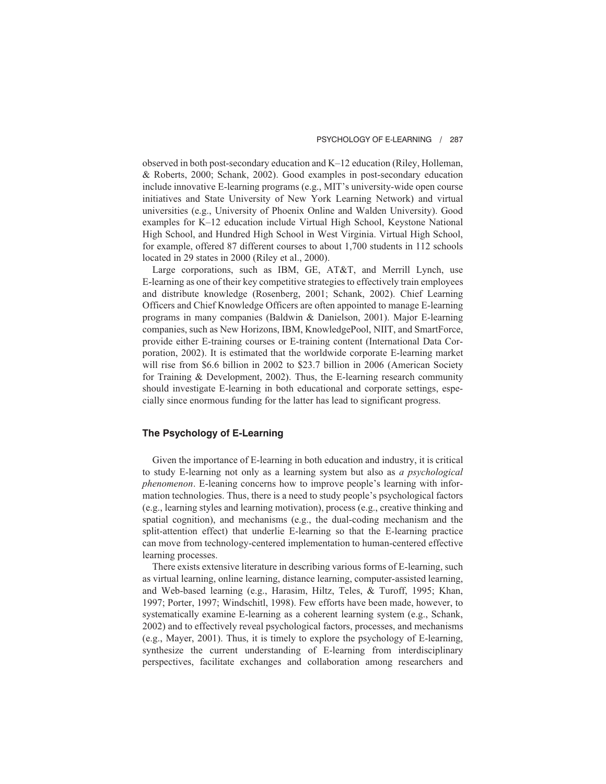observed in both post-secondary education and K–12 education (Riley, Holleman, & Roberts, 2000; Schank, 2002). Good examples in post-secondary education include innovative E-learning programs (e.g., MIT's university-wide open course initiatives and State University of New York Learning Network) and virtual universities (e.g., University of Phoenix Online and Walden University). Good examples for K–12 education include Virtual High School, Keystone National High School, and Hundred High School in West Virginia. Virtual High School, for example, offered 87 different courses to about 1,700 students in 112 schools located in 29 states in 2000 (Riley et al., 2000).

Large corporations, such as IBM, GE, AT&T, and Merrill Lynch, use E-learning as one of their key competitive strategies to effectively train employees and distribute knowledge (Rosenberg, 2001; Schank, 2002). Chief Learning Officers and Chief Knowledge Officers are often appointed to manage E-learning programs in many companies (Baldwin & Danielson, 2001). Major E-learning companies, such as New Horizons, IBM, KnowledgePool, NIIT, and SmartForce, provide either E-training courses or E-training content (International Data Corporation, 2002). It is estimated that the worldwide corporate E-learning market will rise from \$6.6 billion in 2002 to \$23.7 billion in 2006 (American Society for Training & Development, 2002). Thus, the E-learning research community should investigate E-learning in both educational and corporate settings, especially since enormous funding for the latter has lead to significant progress.

### **The Psychology of E-Learning**

Given the importance of E-learning in both education and industry, it is critical to study E-learning not only as a learning system but also as *a psychological phenomenon*. E-leaning concerns how to improve people's learning with information technologies. Thus, there is a need to study people's psychological factors (e.g., learning styles and learning motivation), process (e.g., creative thinking and spatial cognition), and mechanisms (e.g., the dual-coding mechanism and the split-attention effect) that underlie E-learning so that the E-learning practice can move from technology-centered implementation to human-centered effective learning processes.

There exists extensive literature in describing various forms of E-learning, such as virtual learning, online learning, distance learning, computer-assisted learning, and Web-based learning (e.g., Harasim, Hiltz, Teles, & Turoff, 1995; Khan, 1997; Porter, 1997; Windschitl, 1998). Few efforts have been made, however, to systematically examine E-learning as a coherent learning system (e.g., Schank, 2002) and to effectively reveal psychological factors, processes, and mechanisms (e.g., Mayer, 2001). Thus, it is timely to explore the psychology of E-learning, synthesize the current understanding of E-learning from interdisciplinary perspectives, facilitate exchanges and collaboration among researchers and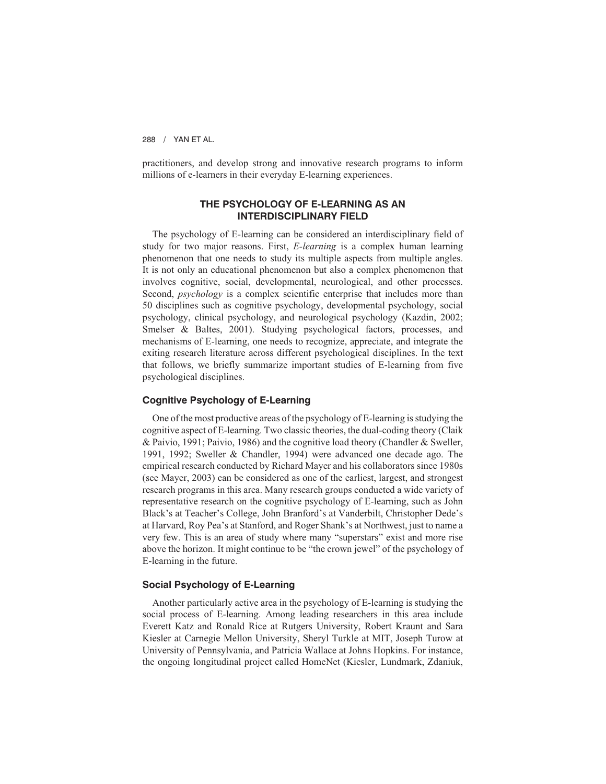practitioners, and develop strong and innovative research programs to inform millions of e-learners in their everyday E-learning experiences.

# **THE PSYCHOLOGY OF E-LEARNING AS AN INTERDISCIPLINARY FIELD**

The psychology of E-learning can be considered an interdisciplinary field of study for two major reasons. First, *E-learning* is a complex human learning phenomenon that one needs to study its multiple aspects from multiple angles. It is not only an educational phenomenon but also a complex phenomenon that involves cognitive, social, developmental, neurological, and other processes. Second, *psychology* is a complex scientific enterprise that includes more than 50 disciplines such as cognitive psychology, developmental psychology, social psychology, clinical psychology, and neurological psychology (Kazdin, 2002; Smelser & Baltes, 2001). Studying psychological factors, processes, and mechanisms of E-learning, one needs to recognize, appreciate, and integrate the exiting research literature across different psychological disciplines. In the text that follows, we briefly summarize important studies of E-learning from five psychological disciplines.

### **Cognitive Psychology of E-Learning**

One of the most productive areas of the psychology of E-learning is studying the cognitive aspect of E-learning. Two classic theories, the dual-coding theory (Claik & Paivio, 1991; Paivio, 1986) and the cognitive load theory (Chandler & Sweller, 1991, 1992; Sweller & Chandler, 1994) were advanced one decade ago. The empirical research conducted by Richard Mayer and his collaborators since 1980s (see Mayer, 2003) can be considered as one of the earliest, largest, and strongest research programs in this area. Many research groups conducted a wide variety of representative research on the cognitive psychology of E-learning, such as John Black's at Teacher's College, John Branford's at Vanderbilt, Christopher Dede's at Harvard, Roy Pea's at Stanford, and Roger Shank's at Northwest, just to name a very few. This is an area of study where many "superstars" exist and more rise above the horizon. It might continue to be "the crown jewel" of the psychology of E-learning in the future.

### **Social Psychology of E-Learning**

Another particularly active area in the psychology of E-learning is studying the social process of E-learning. Among leading researchers in this area include Everett Katz and Ronald Rice at Rutgers University, Robert Kraunt and Sara Kiesler at Carnegie Mellon University, Sheryl Turkle at MIT, Joseph Turow at University of Pennsylvania, and Patricia Wallace at Johns Hopkins. For instance, the ongoing longitudinal project called HomeNet (Kiesler, Lundmark, Zdaniuk,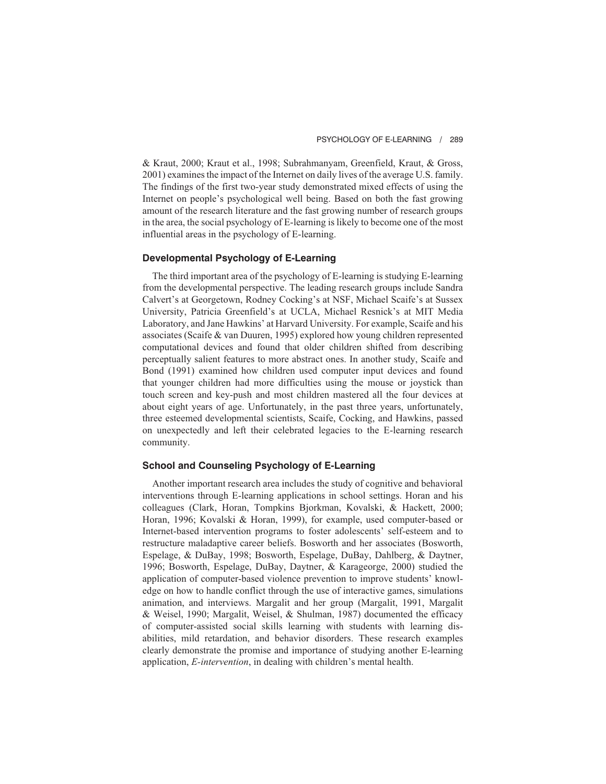& Kraut, 2000; Kraut et al., 1998; Subrahmanyam, Greenfield, Kraut, & Gross, 2001) examines the impact of the Internet on daily lives of the average U.S. family. The findings of the first two-year study demonstrated mixed effects of using the Internet on people's psychological well being. Based on both the fast growing amount of the research literature and the fast growing number of research groups in the area, the social psychology of E-learning is likely to become one of the most influential areas in the psychology of E-learning.

### **Developmental Psychology of E-Learning**

The third important area of the psychology of E-learning is studying E-learning from the developmental perspective. The leading research groups include Sandra Calvert's at Georgetown, Rodney Cocking's at NSF, Michael Scaife's at Sussex University, Patricia Greenfield's at UCLA, Michael Resnick's at MIT Media Laboratory, and Jane Hawkins' at Harvard University. For example, Scaife and his associates (Scaife & van Duuren, 1995) explored how young children represented computational devices and found that older children shifted from describing perceptually salient features to more abstract ones. In another study, Scaife and Bond (1991) examined how children used computer input devices and found that younger children had more difficulties using the mouse or joystick than touch screen and key-push and most children mastered all the four devices at about eight years of age. Unfortunately, in the past three years, unfortunately, three esteemed developmental scientists, Scaife, Cocking, and Hawkins, passed on unexpectedly and left their celebrated legacies to the E-learning research community.

#### **School and Counseling Psychology of E-Learning**

Another important research area includes the study of cognitive and behavioral interventions through E-learning applications in school settings. Horan and his colleagues (Clark, Horan, Tompkins Bjorkman, Kovalski, & Hackett, 2000; Horan, 1996; Kovalski & Horan, 1999), for example, used computer-based or Internet-based intervention programs to foster adolescents' self-esteem and to restructure maladaptive career beliefs. Bosworth and her associates (Bosworth, Espelage, & DuBay, 1998; Bosworth, Espelage, DuBay, Dahlberg, & Daytner, 1996; Bosworth, Espelage, DuBay, Daytner, & Karageorge, 2000) studied the application of computer-based violence prevention to improve students' knowledge on how to handle conflict through the use of interactive games, simulations animation, and interviews. Margalit and her group (Margalit, 1991, Margalit & Weisel, 1990; Margalit, Weisel, & Shulman, 1987) documented the efficacy of computer-assisted social skills learning with students with learning disabilities, mild retardation, and behavior disorders. These research examples clearly demonstrate the promise and importance of studying another E-learning application, *E-intervention*, in dealing with children's mental health.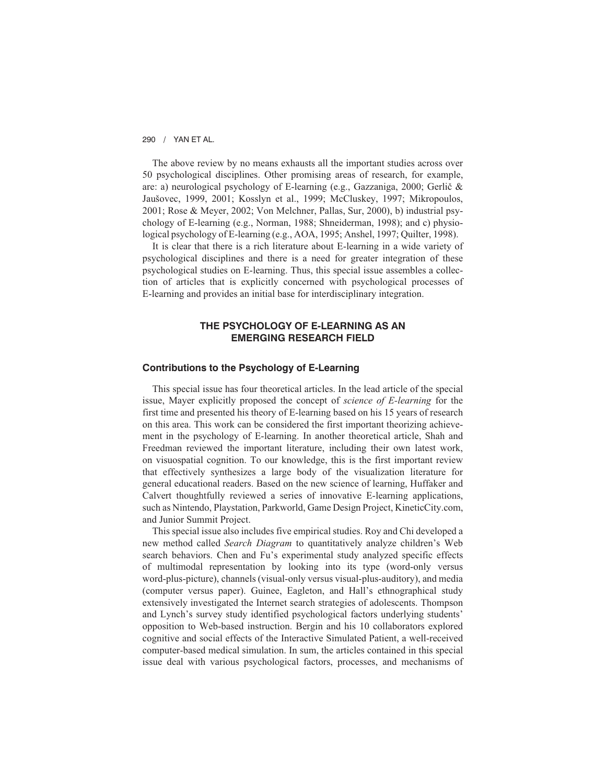The above review by no means exhausts all the important studies across over 50 psychological disciplines. Other promising areas of research, for example, are: a) neurological psychology of E-learning (e.g., Gazzaniga, 2000; Gerlič  $\&$ Jaušovec, 1999, 2001; Kosslyn et al., 1999; McCluskey, 1997; Mikropoulos, 2001; Rose & Meyer, 2002; Von Melchner, Pallas, Sur, 2000), b) industrial psychology of E-learning (e.g., Norman, 1988; Shneiderman, 1998); and c) physiological psychology of E-learning (e.g., AOA, 1995; Anshel, 1997; Quilter, 1998).

It is clear that there is a rich literature about E-learning in a wide variety of psychological disciplines and there is a need for greater integration of these psychological studies on E-learning. Thus, this special issue assembles a collection of articles that is explicitly concerned with psychological processes of E-learning and provides an initial base for interdisciplinary integration.

# **THE PSYCHOLOGY OF E-LEARNING AS AN EMERGING RESEARCH FIELD**

#### **Contributions to the Psychology of E-Learning**

This special issue has four theoretical articles. In the lead article of the special issue, Mayer explicitly proposed the concept of *science of E-learning* for the first time and presented his theory of E-learning based on his 15 years of research on this area. This work can be considered the first important theorizing achievement in the psychology of E-learning. In another theoretical article, Shah and Freedman reviewed the important literature, including their own latest work, on visuospatial cognition. To our knowledge, this is the first important review that effectively synthesizes a large body of the visualization literature for general educational readers. Based on the new science of learning, Huffaker and Calvert thoughtfully reviewed a series of innovative E-learning applications, such as Nintendo, Playstation, Parkworld, Game Design Project, KineticCity.com, and Junior Summit Project.

This special issue also includes five empirical studies. Roy and Chi developed a new method called *Search Diagram* to quantitatively analyze children's Web search behaviors. Chen and Fu's experimental study analyzed specific effects of multimodal representation by looking into its type (word-only versus word-plus-picture), channels (visual-only versus visual-plus-auditory), and media (computer versus paper). Guinee, Eagleton, and Hall's ethnographical study extensively investigated the Internet search strategies of adolescents. Thompson and Lynch's survey study identified psychological factors underlying students' opposition to Web-based instruction. Bergin and his 10 collaborators explored cognitive and social effects of the Interactive Simulated Patient, a well-received computer-based medical simulation. In sum, the articles contained in this special issue deal with various psychological factors, processes, and mechanisms of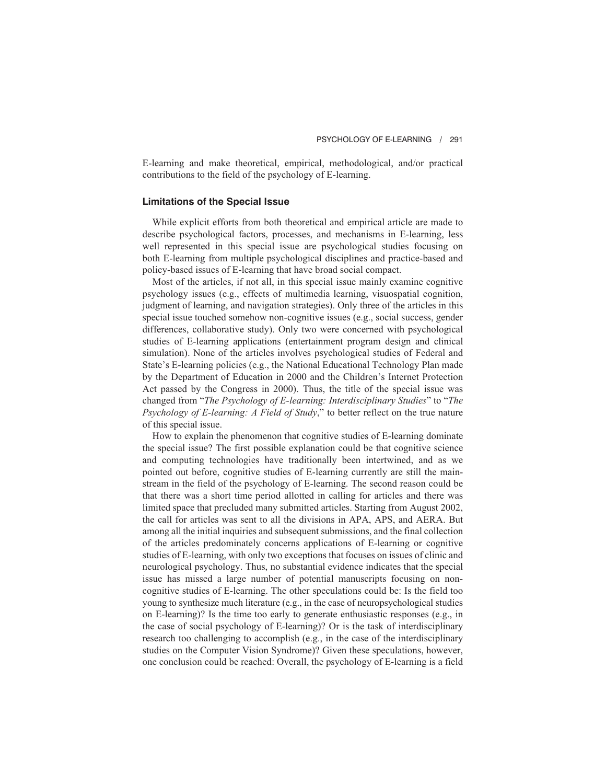E-learning and make theoretical, empirical, methodological, and/or practical contributions to the field of the psychology of E-learning.

## **Limitations of the Special Issue**

While explicit efforts from both theoretical and empirical article are made to describe psychological factors, processes, and mechanisms in E-learning, less well represented in this special issue are psychological studies focusing on both E-learning from multiple psychological disciplines and practice-based and policy-based issues of E-learning that have broad social compact.

Most of the articles, if not all, in this special issue mainly examine cognitive psychology issues (e.g., effects of multimedia learning, visuospatial cognition, judgment of learning, and navigation strategies). Only three of the articles in this special issue touched somehow non-cognitive issues (e.g., social success, gender differences, collaborative study). Only two were concerned with psychological studies of E-learning applications (entertainment program design and clinical simulation). None of the articles involves psychological studies of Federal and State's E-learning policies (e.g., the National Educational Technology Plan made by the Department of Education in 2000 and the Children's Internet Protection Act passed by the Congress in 2000). Thus, the title of the special issue was changed from "*The Psychology of E-learning: Interdisciplinary Studies*" to "*The Psychology of E-learning: A Field of Study*," to better reflect on the true nature of this special issue.

How to explain the phenomenon that cognitive studies of E-learning dominate the special issue? The first possible explanation could be that cognitive science and computing technologies have traditionally been intertwined, and as we pointed out before, cognitive studies of E-learning currently are still the mainstream in the field of the psychology of E-learning. The second reason could be that there was a short time period allotted in calling for articles and there was limited space that precluded many submitted articles. Starting from August 2002, the call for articles was sent to all the divisions in APA, APS, and AERA. But among all the initial inquiries and subsequent submissions, and the final collection of the articles predominately concerns applications of E-learning or cognitive studies of E-learning, with only two exceptions that focuses on issues of clinic and neurological psychology. Thus, no substantial evidence indicates that the special issue has missed a large number of potential manuscripts focusing on noncognitive studies of E-learning. The other speculations could be: Is the field too young to synthesize much literature (e.g., in the case of neuropsychological studies on E-learning)? Is the time too early to generate enthusiastic responses (e.g., in the case of social psychology of E-learning)? Or is the task of interdisciplinary research too challenging to accomplish (e.g., in the case of the interdisciplinary studies on the Computer Vision Syndrome)? Given these speculations, however, one conclusion could be reached: Overall, the psychology of E-learning is a field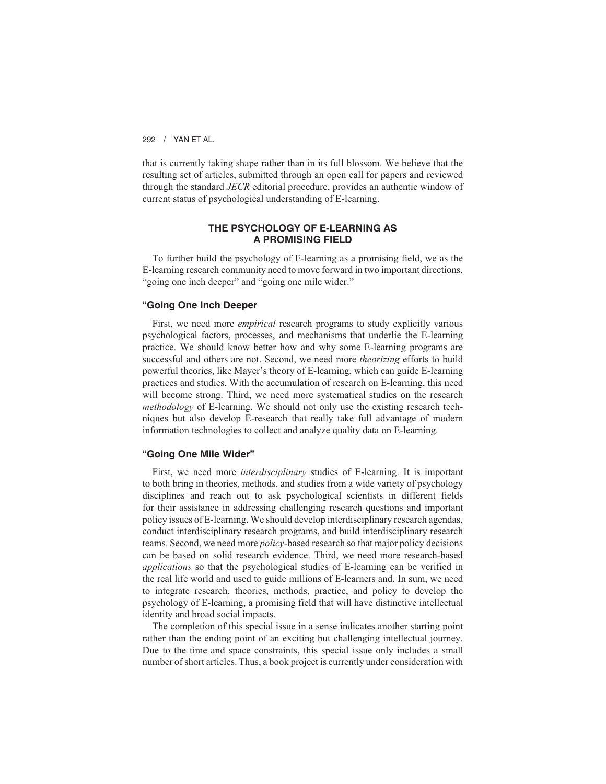that is currently taking shape rather than in its full blossom. We believe that the resulting set of articles, submitted through an open call for papers and reviewed through the standard *JECR* editorial procedure, provides an authentic window of current status of psychological understanding of E-learning.

# **THE PSYCHOLOGY OF E-LEARNING AS A PROMISING FIELD**

To further build the psychology of E-learning as a promising field, we as the E-learning research community need to move forward in two important directions, "going one inch deeper" and "going one mile wider."

#### **"Going One Inch Deeper**

First, we need more *empirical* research programs to study explicitly various psychological factors, processes, and mechanisms that underlie the E-learning practice. We should know better how and why some E-learning programs are successful and others are not. Second, we need more *theorizing* efforts to build powerful theories, like Mayer's theory of E-learning, which can guide E-learning practices and studies. With the accumulation of research on E-learning, this need will become strong. Third, we need more systematical studies on the research *methodology* of E-learning. We should not only use the existing research techniques but also develop E-research that really take full advantage of modern information technologies to collect and analyze quality data on E-learning.

#### **"Going One Mile Wider"**

First, we need more *interdisciplinary* studies of E-learning. It is important to both bring in theories, methods, and studies from a wide variety of psychology disciplines and reach out to ask psychological scientists in different fields for their assistance in addressing challenging research questions and important policy issues of E-learning. We should develop interdisciplinary research agendas, conduct interdisciplinary research programs, and build interdisciplinary research teams. Second, we need more *policy*-based research so that major policy decisions can be based on solid research evidence. Third, we need more research-based *applications* so that the psychological studies of E-learning can be verified in the real life world and used to guide millions of E-learners and. In sum, we need to integrate research, theories, methods, practice, and policy to develop the psychology of E-learning, a promising field that will have distinctive intellectual identity and broad social impacts.

The completion of this special issue in a sense indicates another starting point rather than the ending point of an exciting but challenging intellectual journey. Due to the time and space constraints, this special issue only includes a small number of short articles. Thus, a book project is currently under consideration with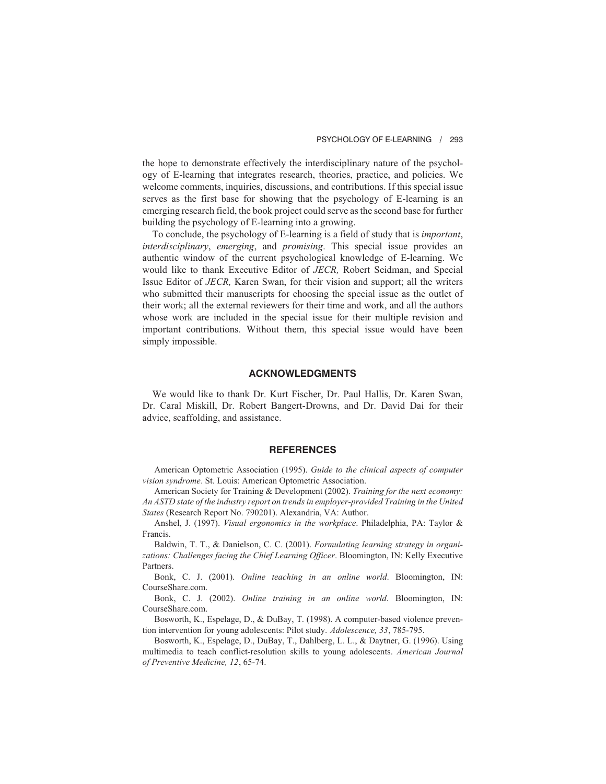the hope to demonstrate effectively the interdisciplinary nature of the psychology of E-learning that integrates research, theories, practice, and policies. We welcome comments, inquiries, discussions, and contributions. If this special issue serves as the first base for showing that the psychology of E-learning is an emerging research field, the book project could serve as the second base for further building the psychology of E-learning into a growing.

To conclude, the psychology of E-learning is a field of study that is *important*, *interdisciplinary*, *emerging*, and *promising*. This special issue provides an authentic window of the current psychological knowledge of E-learning. We would like to thank Executive Editor of *JECR,* Robert Seidman, and Special Issue Editor of *JECR,* Karen Swan, for their vision and support; all the writers who submitted their manuscripts for choosing the special issue as the outlet of their work; all the external reviewers for their time and work, and all the authors whose work are included in the special issue for their multiple revision and important contributions. Without them, this special issue would have been simply impossible.

#### **ACKNOWLEDGMENTS**

We would like to thank Dr. Kurt Fischer, Dr. Paul Hallis, Dr. Karen Swan, Dr. Caral Miskill, Dr. Robert Bangert-Drowns, and Dr. David Dai for their advice, scaffolding, and assistance.

#### **REFERENCES**

American Optometric Association (1995). *Guide to the clinical aspects of computer vision syndrome*. St. Louis: American Optometric Association.

American Society for Training & Development (2002). *Training for the next economy: An ASTD state of the industry report on trends in employer-provided Training in the United States* (Research Report No. 790201). Alexandria, VA: Author.

Anshel, J. (1997). *Visual ergonomics in the workplace*. Philadelphia, PA: Taylor & Francis.

Baldwin, T. T., & Danielson, C. C. (2001). *Formulating learning strategy in organizations: Challenges facing the Chief Learning Officer*. Bloomington, IN: Kelly Executive Partners.

Bonk, C. J. (2001). *Online teaching in an online world*. Bloomington, IN: CourseShare.com.

Bonk, C. J. (2002). *Online training in an online world*. Bloomington, IN: CourseShare.com.

Bosworth, K., Espelage, D., & DuBay, T. (1998). A computer-based violence prevention intervention for young adolescents: Pilot study. *Adolescence, 33*, 785-795.

Bosworth, K., Espelage, D., DuBay, T., Dahlberg, L. L., & Daytner, G. (1996). Using multimedia to teach conflict-resolution skills to young adolescents. *American Journal of Preventive Medicine, 12*, 65-74.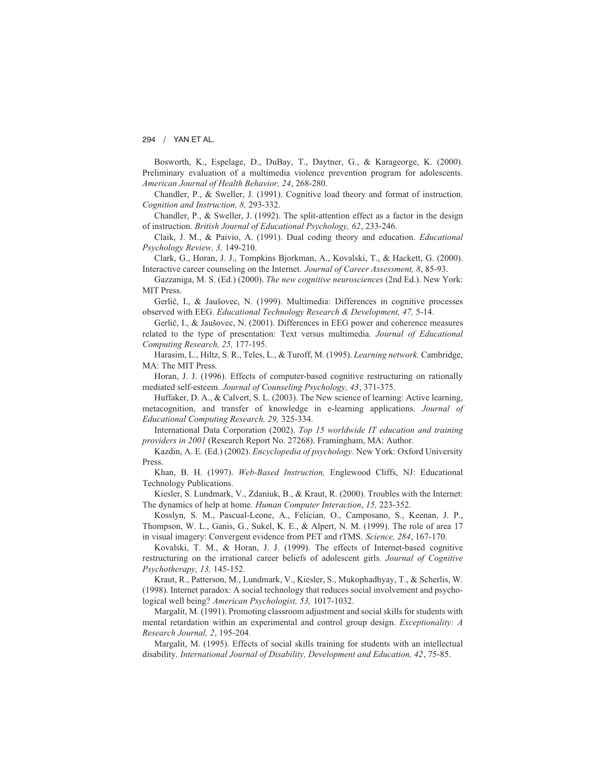Bosworth, K., Espelage, D., DuBay, T., Daytner, G., & Karageorge, K. (2000). Preliminary evaluation of a multimedia violence prevention program for adolescents. *American Journal of Health Behavior, 24*, 268-280.

Chandler, P., & Sweller, J. (1991). Cognitive load theory and format of instruction. *Cognition and Instruction, 8,* 293-332.

Chandler, P., & Sweller, J. (1992). The split-attention effect as a factor in the design of instruction. *British Journal of Educational Psychology, 62*, 233-246.

Claik, J. M., & Paivio, A. (1991). Dual coding theory and education. *Educational Psychology Review, 3,* 149-210.

Clark, G., Horan, J. J., Tompkins Bjorkman, A., Kovalski, T., & Hackett, G. (2000). Interactive career counseling on the Internet. *Journal of Career Assessment, 8*, 85-93.

Gazzaniga, M. S. (Ed.) (2000). *The new cognitive neurosciences* (2nd Ed.). New York: MIT Press.

Gerlič, I., & Jaušovec, N. (1999). Multimedia: Differences in cognitive processes observed with EEG. *Educational Technology Research & Development, 47,* 5-14.

Gerlič, I., & Jaušovec, N. (2001). Differences in EEG power and coherence measures related to the type of presentation: Text versus multimedia. *Journal of Educational Computing Research, 25,* 177-195.

Harasim, L., Hiltz, S. R., Teles, L., & Turoff, M. (1995). *Learning network.* Cambridge, MA: The MIT Press.

Horan, J. J. (1996). Effects of computer-based cognitive restructuring on rationally mediated self-esteem. *Journal of Counseling Psychology, 43*, 371-375.

Huffaker, D. A., & Calvert, S. L. (2003). The New science of learning: Active learning, metacognition, and transfer of knowledge in e-learning applications. *Journal of Educational Computing Research, 29,* 325-334.

International Data Corporation (2002). *Top 15 worldwide IT education and training providers in 2001* (Research Report No. 27268). Framingham, MA: Author.

Kazdin, A. E. (Ed.) (2002). *Encyclopedia of psychology*. New York: Oxford University Press.

Khan, B. H. (1997). *Web-Based Instruction,* Englewood Cliffs, NJ: Educational Technology Publications.

Kiesler, S. Lundmark, V., Zdaniuk, B., & Kraut, R. (2000). Troubles with the Internet: The dynamics of help at home. *Human Computer Interaction*, *15,* 223-352.

Kosslyn, S. M., Pascual-Leone, A., Felician, O., Camposano, S., Keenan, J. P., Thompson, W. L., Ganis, G., Sukel, K. E., & Alpert, N. M. (1999). The role of area 17 in visual imagery: Convergent evidence from PET and rTMS. *Science, 284*, 167-170.

Kovalski, T. M., & Horan, J. J. (1999). The effects of Internet-based cognitive restructuring on the irrational career beliefs of adolescent girls. *Journal of Cognitive Psychotherapy, 13,* 145-152.

Kraut, R., Patterson, M., Lundmark, V., Kiesler, S., Mukophadhyay, T., & Scherlis, W. (1998). Internet paradox: A social technology that reduces social involvement and psychological well being? *American Psychologist, 53,* 1017-1032.

Margalit, M. (1991). Promoting classroom adjustment and social skills for students with mental retardation within an experimental and control group design. *Exceptionality: A Research Journal, 2*, 195-204.

Margalit, M. (1995). Effects of social skills training for students with an intellectual disability. *International Journal of Disability, Development and Education, 42*, 75-85.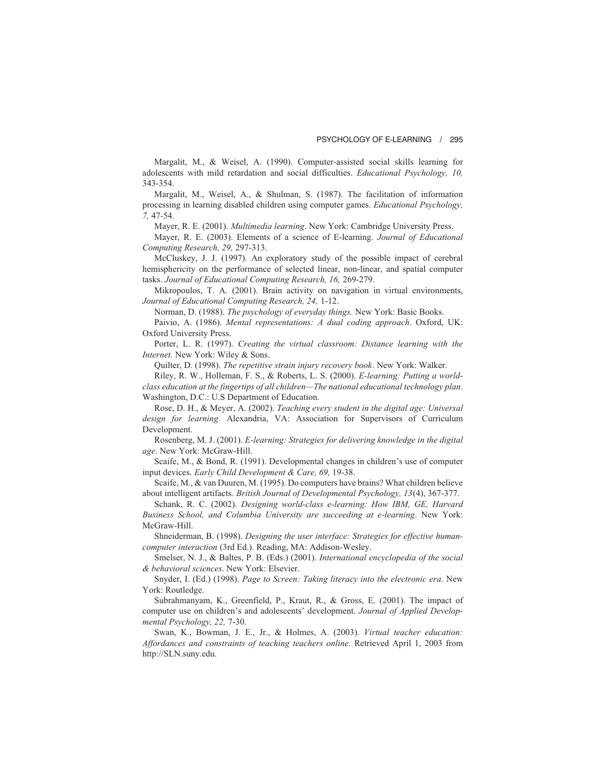Margalit, M., & Weisel, A. (1990). Computer-assisted social skills learning for adolescents with mild retardation and social difficulties. *Educational Psychology, 10,* 343-354.

Margalit, M., Weisel, A., & Shulman, S. (1987). The facilitation of information processing in learning disabled children using computer games. *Educational Psychology, 7,* 47-54.

Mayer, R. E. (2001). *Multimedia learning*. New York: Cambridge University Press.

Mayer, R. E. (2003). Elements of a science of E-learning. *Journal of Educational Computing Research, 29,* 297-313.

McCluskey, J. J. (1997). An exploratory study of the possible impact of cerebral hemisphericity on the performance of selected linear, non-linear, and spatial computer tasks. *Journal of Educational Computing Research, 16,* 269-279.

Mikropoulos, T. A. (2001). Brain activity on navigation in virtual environments, *Journal of Educational Computing Research, 24,* 1-12.

Norman, D. (1988). *The psychology of everyday things.* New York: Basic Books.

Paivio, A. (1986). *Mental representations: A dual coding approach*. Oxford, UK: Oxford University Press.

Porter, L. R. (1997). *Creating the virtual classroom: Distance learning with the Internet.* New York: Wiley & Sons.

Quilter, D. (1998). *The repetitive strain injury recovery book*. New York: Walker.

Riley, R. W., Holleman, F. S., & Roberts, L. S. (2000). *E-learning: Putting a worldclass education at the fingertips of all children—The national educational technology plan.* Washington, D.C.: U.S Department of Education.

Rose, D. H., & Meyer, A. (2002). *Teaching every student in the digital age: Universal design for learning.* Alexandria, VA: Association for Supervisors of Curriculum Development.

Rosenberg, M. J. (2001). *E-learning: Strategies for delivering knowledge in the digital age*. New York: McGraw-Hill.

Scaife, M., & Bond, R. (1991). Developmental changes in children's use of computer input devices. *Early Child Development & Care, 69,* 19-38.

Scaife, M., & van Duuren, M. (1995). Do computers have brains? What children believe about intelligent artifacts. *British Journal of Developmental Psychology, 13*(4), 367-377.

Schank, R. C. (2002). *Designing world-class e-learning: How IBM, GE, Harvard Business School, and Columbia University are succeeding at e-learning*. New York: McGraw-Hill.

Shneiderman, B. (1998). *Designing the user interface: Strategies for effective humancomputer interaction* (3rd Ed.). Reading, MA: Addison-Wesley.

Smelser, N. J., & Baltes, P. B. (Eds.) (2001). *International encyclopedia of the social & behavioral sciences*. New York: Elsevier.

Snyder, I. (Ed.) (1998). *Page to Screen: Taking literacy into the electronic era*. New York: Routledge.

Subrahmanyam, K., Greenfield, P., Kraut, R., & Gross, E. (2001). The impact of computer use on children's and adolescents' development. *Journal of Applied Developmental Psychology, 22,* 7-30.

Swan, K., Bowman, J. E., Jr., & Holmes, A. (2003). *Virtual teacher education: Affordances and constraints of teaching teachers online*. Retrieved April 1, 2003 from http://SLN.suny.edu.